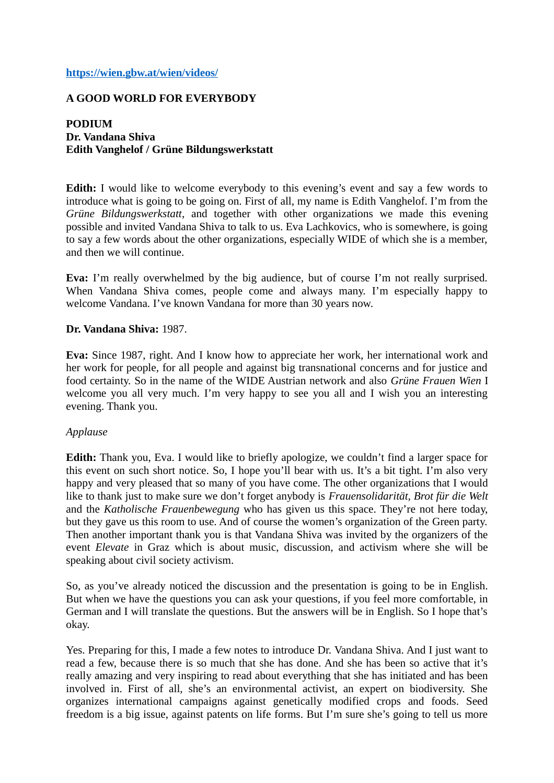### **<https://wien.gbw.at/wien/videos/>**

# **A GOOD WORLD FOR EVERYBODY**

**PODIUM Dr. Vandana Shiva Edith Vanghelof / Grüne Bildungswerkstatt**

**Edith:** I would like to welcome everybody to this evening's event and say a few words to introduce what is going to be going on. First of all, my name is Edith Vanghelof. I'm from the *Grüne Bildungswerkstatt*, and together with other organizations we made this evening possible and invited Vandana Shiva to talk to us. Eva Lachkovics, who is somewhere, is going to say a few words about the other organizations, especially WIDE of which she is a member, and then we will continue.

**Eva:** I'm really overwhelmed by the big audience, but of course I'm not really surprised. When Vandana Shiva comes, people come and always many. I'm especially happy to welcome Vandana. I've known Vandana for more than 30 years now.

#### **Dr. Vandana Shiva:** 1987.

**Eva:** Since 1987, right. And I know how to appreciate her work, her international work and her work for people, for all people and against big transnational concerns and for justice and food certainty. So in the name of the WIDE Austrian network and also *Grüne Frauen Wien* I welcome you all very much. I'm very happy to see you all and I wish you an interesting evening. Thank you.

#### *Applause*

**Edith:** Thank you, Eva. I would like to briefly apologize, we couldn't find a larger space for this event on such short notice. So, I hope you'll bear with us. It's a bit tight. I'm also very happy and very pleased that so many of you have come. The other organizations that I would like to thank just to make sure we don't forget anybody is *Frauensolidarität, Brot für die Welt* and the *Katholische Frauenbewegung* who has given us this space. They're not here today, but they gave us this room to use. And of course the women's organization of the Green party. Then another important thank you is that Vandana Shiva was invited by the organizers of the event *Elevate* in Graz which is about music, discussion, and activism where she will be speaking about civil society activism.

So, as you've already noticed the discussion and the presentation is going to be in English. But when we have the questions you can ask your questions, if you feel more comfortable, in German and I will translate the questions. But the answers will be in English. So I hope that's okay.

Yes. Preparing for this, I made a few notes to introduce Dr. Vandana Shiva. And I just want to read a few, because there is so much that she has done. And she has been so active that it's really amazing and very inspiring to read about everything that she has initiated and has been involved in. First of all, she's an environmental activist, an expert on biodiversity. She organizes international campaigns against genetically modified crops and foods. Seed freedom is a big issue, against patents on life forms. But I'm sure she's going to tell us more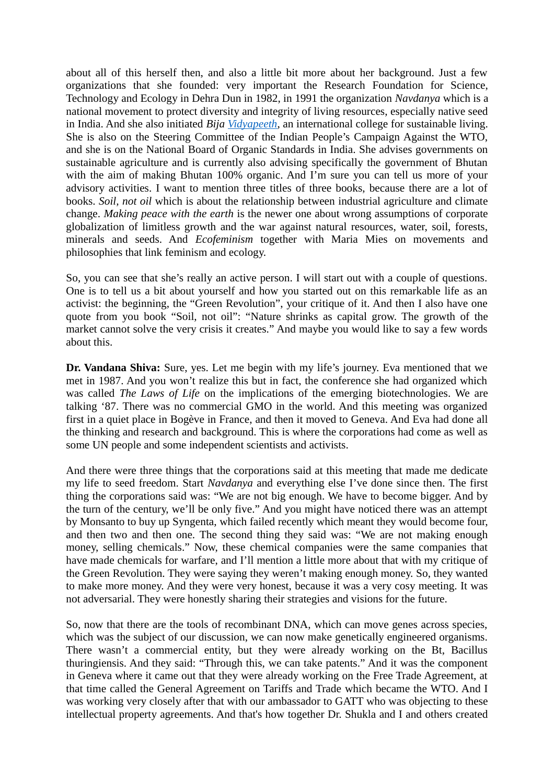about all of this herself then, and also a little bit more about her background. Just a few organizations that she founded: very important the Research Foundation for Science, Technology and Ecology in Dehra Dun in 1982, in 1991 the organization *Navdanya* which is a national movement to protect diversity and integrity of living resources, especially native seed in India. And she also initiated *Bija [Vidyapeeth](http://www.navdanya.org/earth-university)*, an international college for sustainable living. She is also on the Steering Committee of the Indian People's Campaign Against the WTO, and she is on the National Board of Organic Standards in India. She advises governments on sustainable agriculture and is currently also advising specifically the government of Bhutan with the aim of making Bhutan 100% organic. And I'm sure you can tell us more of your advisory activities. I want to mention three titles of three books, because there are a lot of books. *Soil, not oil* which is about the relationship between industrial agriculture and climate change. *Making peace with the earth* is the newer one about wrong assumptions of corporate globalization of limitless growth and the war against natural resources, water, soil, forests, minerals and seeds. And *Ecofeminism* together with Maria Mies on movements and philosophies that link feminism and ecology.

So, you can see that she's really an active person. I will start out with a couple of questions. One is to tell us a bit about yourself and how you started out on this remarkable life as an activist: the beginning, the "Green Revolution", your critique of it. And then I also have one quote from you book "Soil, not oil": "Nature shrinks as capital grow. The growth of the market cannot solve the very crisis it creates." And maybe you would like to say a few words about this.

**Dr. Vandana Shiva:** Sure, yes. Let me begin with my life's journey. Eva mentioned that we met in 1987. And you won't realize this but in fact, the conference she had organized which was called *The Laws of Life* on the implications of the emerging biotechnologies. We are talking '87. There was no commercial GMO in the world. And this meeting was organized first in a quiet place in Bogève in France, and then it moved to Geneva. And Eva had done all the thinking and research and background. This is where the corporations had come as well as some UN people and some independent scientists and activists.

And there were three things that the corporations said at this meeting that made me dedicate my life to seed freedom. Start *Navdanya* and everything else I've done since then. The first thing the corporations said was: "We are not big enough. We have to become bigger. And by the turn of the century, we'll be only five." And you might have noticed there was an attempt by Monsanto to buy up Syngenta, which failed recently which meant they would become four, and then two and then one. The second thing they said was: "We are not making enough money, selling chemicals." Now, these chemical companies were the same companies that have made chemicals for warfare, and I'll mention a little more about that with my critique of the Green Revolution. They were saying they weren't making enough money. So, they wanted to make more money. And they were very honest, because it was a very cosy meeting. It was not adversarial. They were honestly sharing their strategies and visions for the future.

So, now that there are the tools of recombinant DNA, which can move genes across species, which was the subject of our discussion, we can now make genetically engineered organisms. There wasn't a commercial entity, but they were already working on the Bt, Bacillus thuringiensis. And they said: "Through this, we can take patents." And it was the component in Geneva where it came out that they were already working on the Free Trade Agreement, at that time called the General Agreement on Tariffs and Trade which became the WTO. And I was working very closely after that with our ambassador to GATT who was objecting to these intellectual property agreements. And that's how together Dr. Shukla and I and others created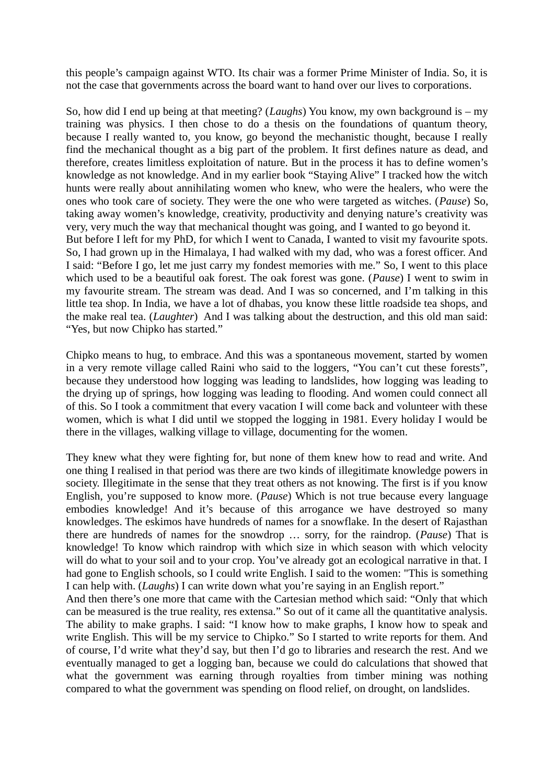this people's campaign against WTO. Its chair was a former Prime Minister of India. So, it is not the case that governments across the board want to hand over our lives to corporations.

So, how did I end up being at that meeting? (*Laughs*) You know, my own background is – my training was physics. I then chose to do a thesis on the foundations of quantum theory, because I really wanted to, you know, go beyond the mechanistic thought, because I really find the mechanical thought as a big part of the problem. It first defines nature as dead, and therefore, creates limitless exploitation of nature. But in the process it has to define women's knowledge as not knowledge. And in my earlier book "Staying Alive" I tracked how the witch hunts were really about annihilating women who knew, who were the healers, who were the ones who took care of society. They were the one who were targeted as witches. (*Pause*) So, taking away women's knowledge, creativity, productivity and denying nature's creativity was very, very much the way that mechanical thought was going, and I wanted to go beyond it. But before I left for my PhD, for which I went to Canada, I wanted to visit my favourite spots. So, I had grown up in the Himalaya, I had walked with my dad, who was a forest officer. And I said: "Before I go, let me just carry my fondest memories with me." So, I went to this place which used to be a beautiful oak forest. The oak forest was gone. (*Pause*) I went to swim in my favourite stream. The stream was dead. And I was so concerned, and I'm talking in this little tea shop. In India, we have a lot of dhabas, you know these little roadside tea shops, and the make real tea. (*Laughter*) And I was talking about the destruction, and this old man said: "Yes, but now Chipko has started."

Chipko means to hug, to embrace. And this was a spontaneous movement, started by women in a very remote village called Raini who said to the loggers, "You can't cut these forests", because they understood how logging was leading to landslides, how logging was leading to the drying up of springs, how logging was leading to flooding. And women could connect all of this. So I took a commitment that every vacation I will come back and volunteer with these women, which is what I did until we stopped the logging in 1981. Every holiday I would be there in the villages, walking village to village, documenting for the women.

They knew what they were fighting for, but none of them knew how to read and write. And one thing I realised in that period was there are two kinds of illegitimate knowledge powers in society. Illegitimate in the sense that they treat others as not knowing. The first is if you know English, you're supposed to know more. (*Pause*) Which is not true because every language embodies knowledge! And it's because of this arrogance we have destroyed so many knowledges. The eskimos have hundreds of names for a snowflake. In the desert of Rajasthan there are hundreds of names for the snowdrop … sorry, for the raindrop. (*Pause*) That is knowledge! To know which raindrop with which size in which season with which velocity will do what to your soil and to your crop. You've already got an ecological narrative in that. I had gone to English schools, so I could write English. I said to the women: "This is something I can help with. (*Laughs*) I can write down what you're saying in an English report." And then there's one more that came with the Cartesian method which said: "Only that which

can be measured is the true reality, res extensa." So out of it came all the quantitative analysis. The ability to make graphs. I said: "I know how to make graphs, I know how to speak and write English. This will be my service to Chipko." So I started to write reports for them. And of course, I'd write what they'd say, but then I'd go to libraries and research the rest. And we eventually managed to get a logging ban, because we could do calculations that showed that what the government was earning through royalties from timber mining was nothing compared to what the government was spending on flood relief, on drought, on landslides.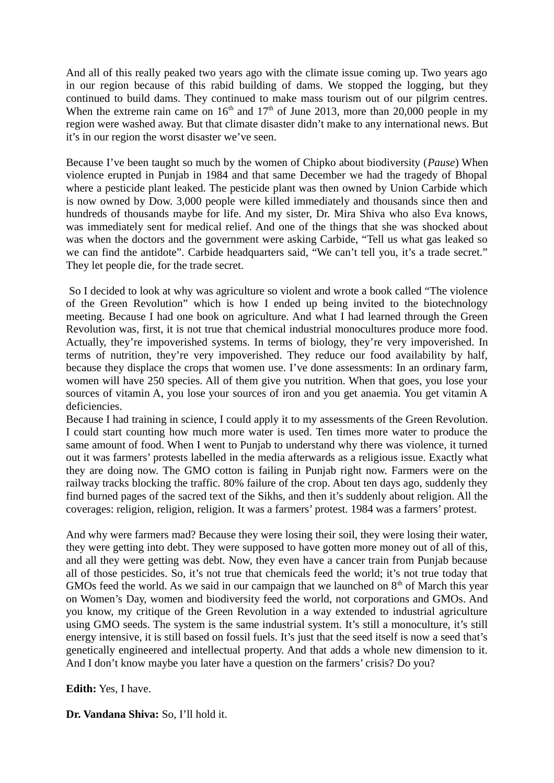And all of this really peaked two years ago with the climate issue coming up. Two years ago in our region because of this rabid building of dams. We stopped the logging, but they continued to build dams. They continued to make mass tourism out of our pilgrim centres. When the extreme rain came on  $16<sup>th</sup>$  and  $17<sup>th</sup>$  of June 2013, more than 20,000 people in my region were washed away. But that climate disaster didn't make to any international news. But it's in our region the worst disaster we've seen.

Because I've been taught so much by the women of Chipko about biodiversity (*Pause*) When violence erupted in Punjab in 1984 and that same December we had the tragedy of Bhopal where a pesticide plant leaked. The pesticide plant was then owned by Union Carbide which is now owned by Dow. 3,000 people were killed immediately and thousands since then and hundreds of thousands maybe for life. And my sister, Dr. Mira Shiva who also Eva knows, was immediately sent for medical relief. And one of the things that she was shocked about was when the doctors and the government were asking Carbide, "Tell us what gas leaked so we can find the antidote". Carbide headquarters said, "We can't tell you, it's a trade secret." They let people die, for the trade secret.

 So I decided to look at why was agriculture so violent and wrote a book called "The violence of the Green Revolution" which is how I ended up being invited to the biotechnology meeting. Because I had one book on agriculture. And what I had learned through the Green Revolution was, first, it is not true that chemical industrial monocultures produce more food. Actually, they're impoverished systems. In terms of biology, they're very impoverished. In terms of nutrition, they're very impoverished. They reduce our food availability by half, because they displace the crops that women use. I've done assessments: In an ordinary farm, women will have 250 species. All of them give you nutrition. When that goes, you lose your sources of vitamin A, you lose your sources of iron and you get anaemia. You get vitamin A deficiencies.

Because I had training in science, I could apply it to my assessments of the Green Revolution. I could start counting how much more water is used. Ten times more water to produce the same amount of food. When I went to Punjab to understand why there was violence, it turned out it was farmers' protests labelled in the media afterwards as a religious issue. Exactly what they are doing now. The GMO cotton is failing in Punjab right now. Farmers were on the railway tracks blocking the traffic. 80% failure of the crop. About ten days ago, suddenly they find burned pages of the sacred text of the Sikhs, and then it's suddenly about religion. All the coverages: religion, religion, religion. It was a farmers' protest. 1984 was a farmers' protest.

And why were farmers mad? Because they were losing their soil, they were losing their water, they were getting into debt. They were supposed to have gotten more money out of all of this, and all they were getting was debt. Now, they even have a cancer train from Punjab because all of those pesticides. So, it's not true that chemicals feed the world; it's not true today that GMOs feed the world. As we said in our campaign that we launched on  $8<sup>th</sup>$  of March this year on Women's Day, women and biodiversity feed the world, not corporations and GMOs. And you know, my critique of the Green Revolution in a way extended to industrial agriculture using GMO seeds. The system is the same industrial system. It's still a monoculture, it's still energy intensive, it is still based on fossil fuels. It's just that the seed itself is now a seed that's genetically engineered and intellectual property. And that adds a whole new dimension to it. And I don't know maybe you later have a question on the farmers' crisis? Do you?

**Edith:** Yes, I have.

**Dr. Vandana Shiva:** So, I'll hold it.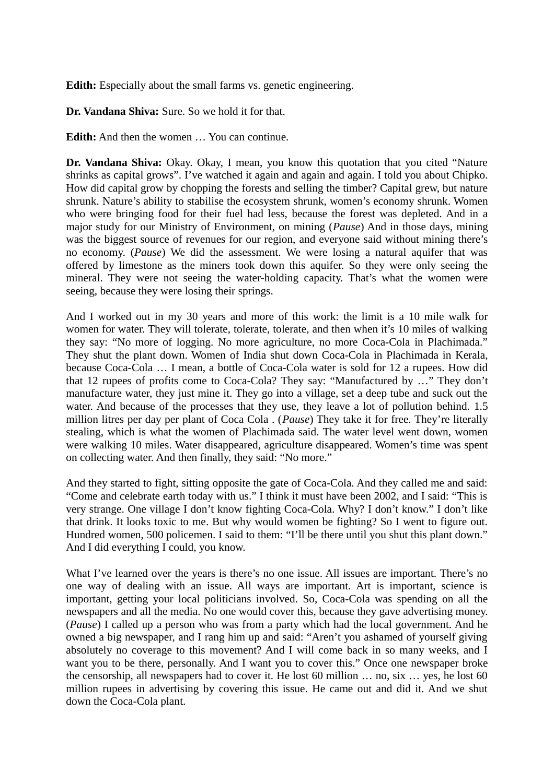**Edith:** Especially about the small farms vs. genetic engineering.

**Dr. Vandana Shiva:** Sure. So we hold it for that.

**Edith:** And then the women … You can continue.

**Dr. Vandana Shiva:** Okay. Okay, I mean, you know this quotation that you cited "Nature shrinks as capital grows". I've watched it again and again and again. I told you about Chipko. How did capital grow by chopping the forests and selling the timber? Capital grew, but nature shrunk. Nature's ability to stabilise the ecosystem shrunk, women's economy shrunk. Women who were bringing food for their fuel had less, because the forest was depleted. And in a major study for our Ministry of Environment, on mining (*Pause*) And in those days, mining was the biggest source of revenues for our region, and everyone said without mining there's no economy. (*Pause*) We did the assessment. We were losing a natural aquifer that was offered by limestone as the miners took down this aquifer. So they were only seeing the mineral. They were not seeing the water-holding capacity. That's what the women were seeing, because they were losing their springs.

And I worked out in my 30 years and more of this work: the limit is a 10 mile walk for women for water. They will tolerate, tolerate, tolerate, and then when it's 10 miles of walking they say: "No more of logging. No more agriculture, no more Coca-Cola in Plachimada." They shut the plant down. Women of India shut down Coca-Cola in Plachimada in Kerala, because Coca-Cola … I mean, a bottle of Coca-Cola water is sold for 12 a rupees. How did that 12 rupees of profits come to Coca-Cola? They say: "Manufactured by …" They don't manufacture water, they just mine it. They go into a village, set a deep tube and suck out the water. And because of the processes that they use, they leave a lot of pollution behind. 1.5 million litres per day per plant of Coca Cola . (*Pause*) They take it for free. They're literally stealing, which is what the women of Plachimada said. The water level went down, women were walking 10 miles. Water disappeared, agriculture disappeared. Women's time was spent on collecting water. And then finally, they said: "No more."

And they started to fight, sitting opposite the gate of Coca-Cola. And they called me and said: "Come and celebrate earth today with us." I think it must have been 2002, and I said: "This is very strange. One village I don't know fighting Coca-Cola. Why? I don't know." I don't like that drink. It looks toxic to me. But why would women be fighting? So I went to figure out. Hundred women, 500 policemen. I said to them: "I'll be there until you shut this plant down." And I did everything I could, you know.

What I've learned over the years is there's no one issue. All issues are important. There's no one way of dealing with an issue. All ways are important. Art is important, science is important, getting your local politicians involved. So, Coca-Cola was spending on all the newspapers and all the media. No one would cover this, because they gave advertising money. (*Pause*) I called up a person who was from a party which had the local government. And he owned a big newspaper, and I rang him up and said: "Aren't you ashamed of yourself giving absolutely no coverage to this movement? And I will come back in so many weeks, and I want you to be there, personally. And I want you to cover this." Once one newspaper broke the censorship, all newspapers had to cover it. He lost 60 million … no, six … yes, he lost 60 million rupees in advertising by covering this issue. He came out and did it. And we shut down the Coca-Cola plant.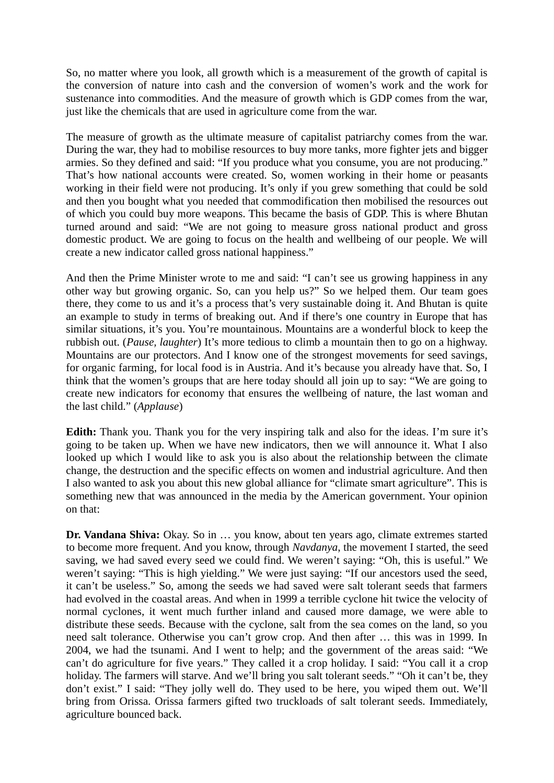So, no matter where you look, all growth which is a measurement of the growth of capital is the conversion of nature into cash and the conversion of women's work and the work for sustenance into commodities. And the measure of growth which is GDP comes from the war, just like the chemicals that are used in agriculture come from the war.

The measure of growth as the ultimate measure of capitalist patriarchy comes from the war. During the war, they had to mobilise resources to buy more tanks, more fighter jets and bigger armies. So they defined and said: "If you produce what you consume, you are not producing." That's how national accounts were created. So, women working in their home or peasants working in their field were not producing. It's only if you grew something that could be sold and then you bought what you needed that commodification then mobilised the resources out of which you could buy more weapons. This became the basis of GDP. This is where Bhutan turned around and said: "We are not going to measure gross national product and gross domestic product. We are going to focus on the health and wellbeing of our people. We will create a new indicator called gross national happiness."

And then the Prime Minister wrote to me and said: "I can't see us growing happiness in any other way but growing organic. So, can you help us?" So we helped them. Our team goes there, they come to us and it's a process that's very sustainable doing it. And Bhutan is quite an example to study in terms of breaking out. And if there's one country in Europe that has similar situations, it's you. You're mountainous. Mountains are a wonderful block to keep the rubbish out. (*Pause, laughter*) It's more tedious to climb a mountain then to go on a highway. Mountains are our protectors. And I know one of the strongest movements for seed savings, for organic farming, for local food is in Austria. And it's because you already have that. So, I think that the women's groups that are here today should all join up to say: "We are going to create new indicators for economy that ensures the wellbeing of nature, the last woman and the last child." (*Applause*)

**Edith:** Thank you. Thank you for the very inspiring talk and also for the ideas. I'm sure it's going to be taken up. When we have new indicators, then we will announce it. What I also looked up which I would like to ask you is also about the relationship between the climate change, the destruction and the specific effects on women and industrial agriculture. And then I also wanted to ask you about this new global alliance for "climate smart agriculture". This is something new that was announced in the media by the American government. Your opinion on that:

**Dr. Vandana Shiva:** Okay. So in … you know, about ten years ago, climate extremes started to become more frequent. And you know, through *Navdanya*, the movement I started, the seed saving, we had saved every seed we could find. We weren't saying: "Oh, this is useful." We weren't saying: "This is high yielding." We were just saying: "If our ancestors used the seed, it can't be useless." So, among the seeds we had saved were salt tolerant seeds that farmers had evolved in the coastal areas. And when in 1999 a terrible cyclone hit twice the velocity of normal cyclones, it went much further inland and caused more damage, we were able to distribute these seeds. Because with the cyclone, salt from the sea comes on the land, so you need salt tolerance. Otherwise you can't grow crop. And then after … this was in 1999. In 2004, we had the tsunami. And I went to help; and the government of the areas said: "We can't do agriculture for five years." They called it a crop holiday. I said: "You call it a crop holiday. The farmers will starve. And we'll bring you salt tolerant seeds." "Oh it can't be, they don't exist." I said: "They jolly well do. They used to be here, you wiped them out. We'll bring from Orissa. Orissa farmers gifted two truckloads of salt tolerant seeds. Immediately, agriculture bounced back.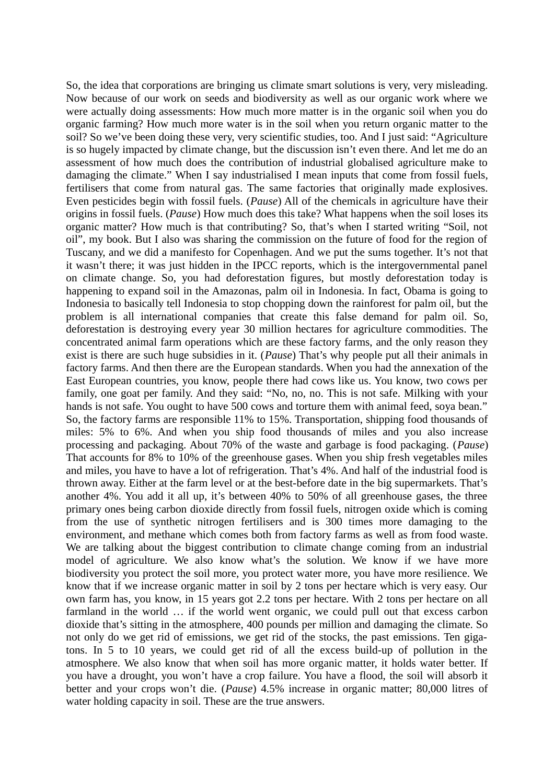So, the idea that corporations are bringing us climate smart solutions is very, very misleading. Now because of our work on seeds and biodiversity as well as our organic work where we were actually doing assessments: How much more matter is in the organic soil when you do organic farming? How much more water is in the soil when you return organic matter to the soil? So we've been doing these very, very scientific studies, too. And I just said: "Agriculture is so hugely impacted by climate change, but the discussion isn't even there. And let me do an assessment of how much does the contribution of industrial globalised agriculture make to damaging the climate." When I say industrialised I mean inputs that come from fossil fuels, fertilisers that come from natural gas. The same factories that originally made explosives. Even pesticides begin with fossil fuels. (*Pause*) All of the chemicals in agriculture have their origins in fossil fuels. (*Pause*) How much does this take? What happens when the soil loses its organic matter? How much is that contributing? So, that's when I started writing "Soil, not oil", my book. But I also was sharing the commission on the future of food for the region of Tuscany, and we did a manifesto for Copenhagen. And we put the sums together. It's not that it wasn't there; it was just hidden in the IPCC reports, which is the intergovernmental panel on climate change. So, you had deforestation figures, but mostly deforestation today is happening to expand soil in the Amazonas, palm oil in Indonesia. In fact, Obama is going to Indonesia to basically tell Indonesia to stop chopping down the rainforest for palm oil, but the problem is all international companies that create this false demand for palm oil. So, deforestation is destroying every year 30 million hectares for agriculture commodities. The concentrated animal farm operations which are these factory farms, and the only reason they exist is there are such huge subsidies in it. (*Pause*) That's why people put all their animals in factory farms. And then there are the European standards. When you had the annexation of the East European countries, you know, people there had cows like us. You know, two cows per family, one goat per family. And they said: "No, no, no. This is not safe. Milking with your hands is not safe. You ought to have 500 cows and torture them with animal feed, sova bean." So, the factory farms are responsible 11% to 15%. Transportation, shipping food thousands of miles: 5% to 6%. And when you ship food thousands of miles and you also increase processing and packaging. About 70% of the waste and garbage is food packaging. (*Pause*) That accounts for 8% to 10% of the greenhouse gases. When you ship fresh vegetables miles and miles, you have to have a lot of refrigeration. That's 4%. And half of the industrial food is thrown away. Either at the farm level or at the best-before date in the big supermarkets. That's another 4%. You add it all up, it's between 40% to 50% of all greenhouse gases, the three primary ones being carbon dioxide directly from fossil fuels, nitrogen oxide which is coming from the use of synthetic nitrogen fertilisers and is 300 times more damaging to the environment, and methane which comes both from factory farms as well as from food waste. We are talking about the biggest contribution to climate change coming from an industrial model of agriculture. We also know what's the solution. We know if we have more biodiversity you protect the soil more, you protect water more, you have more resilience. We know that if we increase organic matter in soil by 2 tons per hectare which is very easy. Our own farm has, you know, in 15 years got 2.2 tons per hectare. With 2 tons per hectare on all farmland in the world … if the world went organic, we could pull out that excess carbon dioxide that's sitting in the atmosphere, 400 pounds per million and damaging the climate. So not only do we get rid of emissions, we get rid of the stocks, the past emissions. Ten gigatons. In 5 to 10 years, we could get rid of all the excess build-up of pollution in the atmosphere. We also know that when soil has more organic matter, it holds water better. If you have a drought, you won't have a crop failure. You have a flood, the soil will absorb it better and your crops won't die. (*Pause*) 4.5% increase in organic matter; 80,000 litres of water holding capacity in soil. These are the true answers.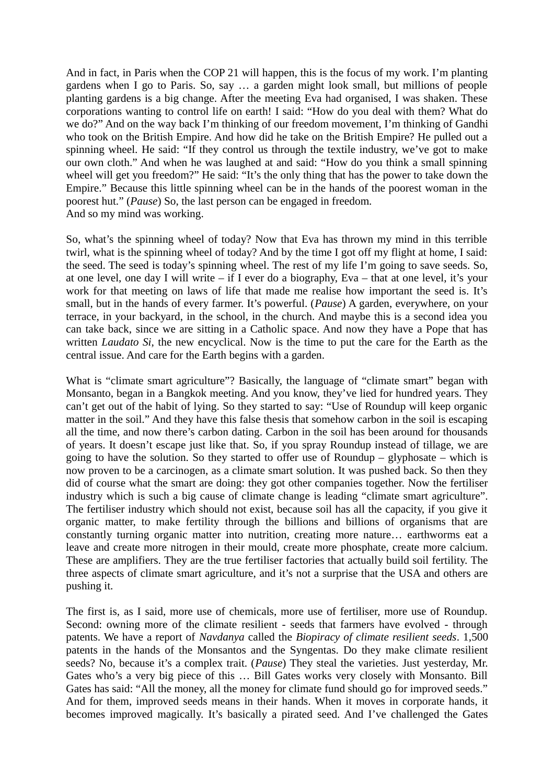And in fact, in Paris when the COP 21 will happen, this is the focus of my work. I'm planting gardens when I go to Paris. So, say … a garden might look small, but millions of people planting gardens is a big change. After the meeting Eva had organised, I was shaken. These corporations wanting to control life on earth! I said: "How do you deal with them? What do we do?" And on the way back I'm thinking of our freedom movement, I'm thinking of Gandhi who took on the British Empire. And how did he take on the British Empire? He pulled out a spinning wheel. He said: "If they control us through the textile industry, we've got to make our own cloth." And when he was laughed at and said: "How do you think a small spinning wheel will get you freedom?" He said: "It's the only thing that has the power to take down the Empire." Because this little spinning wheel can be in the hands of the poorest woman in the poorest hut." (*Pause*) So, the last person can be engaged in freedom. And so my mind was working.

So, what's the spinning wheel of today? Now that Eva has thrown my mind in this terrible twirl, what is the spinning wheel of today? And by the time I got off my flight at home, I said: the seed. The seed is today's spinning wheel. The rest of my life I'm going to save seeds. So, at one level, one day I will write – if I ever do a biography, Eva – that at one level, it's your work for that meeting on laws of life that made me realise how important the seed is. It's small, but in the hands of every farmer. It's powerful. (*Pause*) A garden, everywhere, on your terrace, in your backyard, in the school, in the church. And maybe this is a second idea you can take back, since we are sitting in a Catholic space. And now they have a Pope that has written *Laudato Si*, the new encyclical. Now is the time to put the care for the Earth as the central issue. And care for the Earth begins with a garden.

What is "climate smart agriculture"? Basically, the language of "climate smart" began with Monsanto, began in a Bangkok meeting. And you know, they've lied for hundred years. They can't get out of the habit of lying. So they started to say: "Use of Roundup will keep organic matter in the soil." And they have this false thesis that somehow carbon in the soil is escaping all the time, and now there's carbon dating. Carbon in the soil has been around for thousands of years. It doesn't escape just like that. So, if you spray Roundup instead of tillage, we are going to have the solution. So they started to offer use of Roundup – glyphosate – which is now proven to be a carcinogen, as a climate smart solution. It was pushed back. So then they did of course what the smart are doing: they got other companies together. Now the fertiliser industry which is such a big cause of climate change is leading "climate smart agriculture". The fertiliser industry which should not exist, because soil has all the capacity, if you give it organic matter, to make fertility through the billions and billions of organisms that are constantly turning organic matter into nutrition, creating more nature… earthworms eat a leave and create more nitrogen in their mould, create more phosphate, create more calcium. These are amplifiers. They are the true fertiliser factories that actually build soil fertility. The three aspects of climate smart agriculture, and it's not a surprise that the USA and others are pushing it.

The first is, as I said, more use of chemicals, more use of fertiliser, more use of Roundup. Second: owning more of the climate resilient - seeds that farmers have evolved - through patents. We have a report of *Navdanya* called the *Biopiracy of climate resilient seeds*. 1,500 patents in the hands of the Monsantos and the Syngentas. Do they make climate resilient seeds? No, because it's a complex trait. (*Pause*) They steal the varieties. Just yesterday, Mr. Gates who's a very big piece of this … Bill Gates works very closely with Monsanto. Bill Gates has said: "All the money, all the money for climate fund should go for improved seeds." And for them, improved seeds means in their hands. When it moves in corporate hands, it becomes improved magically. It's basically a pirated seed. And I've challenged the Gates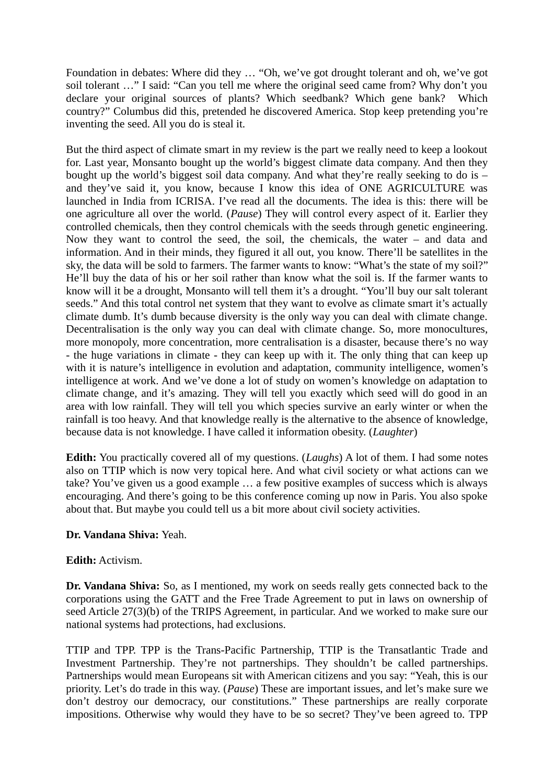Foundation in debates: Where did they … "Oh, we've got drought tolerant and oh, we've got soil tolerant …" I said: "Can you tell me where the original seed came from? Why don't you declare your original sources of plants? Which seedbank? Which gene bank? Which country?" Columbus did this, pretended he discovered America. Stop keep pretending you're inventing the seed. All you do is steal it.

But the third aspect of climate smart in my review is the part we really need to keep a lookout for. Last year, Monsanto bought up the world's biggest climate data company. And then they bought up the world's biggest soil data company. And what they're really seeking to do is  $$ and they've said it, you know, because I know this idea of ONE AGRICULTURE was launched in India from ICRISA. I've read all the documents. The idea is this: there will be one agriculture all over the world. (*Pause*) They will control every aspect of it. Earlier they controlled chemicals, then they control chemicals with the seeds through genetic engineering. Now they want to control the seed, the soil, the chemicals, the water – and data and information. And in their minds, they figured it all out, you know. There'll be satellites in the sky, the data will be sold to farmers. The farmer wants to know: "What's the state of my soil?" He'll buy the data of his or her soil rather than know what the soil is. If the farmer wants to know will it be a drought, Monsanto will tell them it's a drought. "You'll buy our salt tolerant seeds." And this total control net system that they want to evolve as climate smart it's actually climate dumb. It's dumb because diversity is the only way you can deal with climate change. Decentralisation is the only way you can deal with climate change. So, more monocultures, more monopoly, more concentration, more centralisation is a disaster, because there's no way - the huge variations in climate - they can keep up with it. The only thing that can keep up with it is nature's intelligence in evolution and adaptation, community intelligence, women's intelligence at work. And we've done a lot of study on women's knowledge on adaptation to climate change, and it's amazing. They will tell you exactly which seed will do good in an area with low rainfall. They will tell you which species survive an early winter or when the rainfall is too heavy. And that knowledge really is the alternative to the absence of knowledge, because data is not knowledge. I have called it information obesity. (*Laughter*)

**Edith:** You practically covered all of my questions. (*Laughs*) A lot of them. I had some notes also on TTIP which is now very topical here. And what civil society or what actions can we take? You've given us a good example … a few positive examples of success which is always encouraging. And there's going to be this conference coming up now in Paris. You also spoke about that. But maybe you could tell us a bit more about civil society activities.

# **Dr. Vandana Shiva:** Yeah.

### **Edith:** Activism.

**Dr. Vandana Shiva:** So, as I mentioned, my work on seeds really gets connected back to the corporations using the GATT and the Free Trade Agreement to put in laws on ownership of seed Article 27(3)(b) of the TRIPS Agreement, in particular. And we worked to make sure our national systems had protections, had exclusions.

TTIP and TPP. TPP is the Trans-Pacific Partnership, TTIP is the Transatlantic Trade and Investment Partnership. They're not partnerships. They shouldn't be called partnerships. Partnerships would mean Europeans sit with American citizens and you say: "Yeah, this is our priority. Let's do trade in this way. (*Pause*) These are important issues, and let's make sure we don't destroy our democracy, our constitutions." These partnerships are really corporate impositions. Otherwise why would they have to be so secret? They've been agreed to. TPP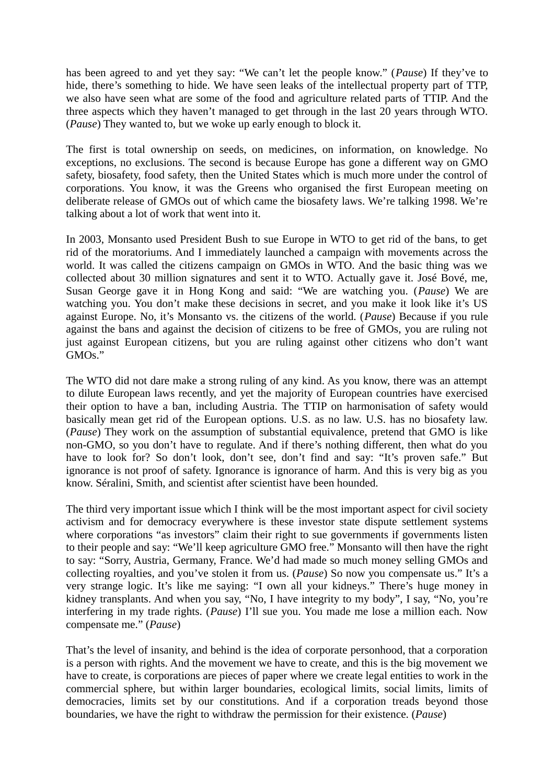has been agreed to and yet they say: "We can't let the people know." (*Pause*) If they've to hide, there's something to hide. We have seen leaks of the intellectual property part of TTP, we also have seen what are some of the food and agriculture related parts of TTIP. And the three aspects which they haven't managed to get through in the last 20 years through WTO. (*Pause*) They wanted to, but we woke up early enough to block it.

The first is total ownership on seeds, on medicines, on information, on knowledge. No exceptions, no exclusions. The second is because Europe has gone a different way on GMO safety, biosafety, food safety, then the United States which is much more under the control of corporations. You know, it was the Greens who organised the first European meeting on deliberate release of GMOs out of which came the biosafety laws. We're talking 1998. We're talking about a lot of work that went into it.

In 2003, Monsanto used President Bush to sue Europe in WTO to get rid of the bans, to get rid of the moratoriums. And I immediately launched a campaign with movements across the world. It was called the citizens campaign on GMOs in WTO. And the basic thing was we collected about 30 million signatures and sent it to WTO. Actually gave it. José Bové, me, Susan George gave it in Hong Kong and said: "We are watching you. (*Pause*) We are watching you. You don't make these decisions in secret, and you make it look like it's US against Europe. No, it's Monsanto vs. the citizens of the world. (*Pause*) Because if you rule against the bans and against the decision of citizens to be free of GMOs, you are ruling not just against European citizens, but you are ruling against other citizens who don't want GMOs."

The WTO did not dare make a strong ruling of any kind. As you know, there was an attempt to dilute European laws recently, and yet the majority of European countries have exercised their option to have a ban, including Austria. The TTIP on harmonisation of safety would basically mean get rid of the European options. U.S. as no law. U.S. has no biosafety law. (*Pause*) They work on the assumption of substantial equivalence, pretend that GMO is like non-GMO, so you don't have to regulate. And if there's nothing different, then what do you have to look for? So don't look, don't see, don't find and say: "It's proven safe." But ignorance is not proof of safety. Ignorance is ignorance of harm. And this is very big as you know. Séralini, Smith, and scientist after scientist have been hounded.

The third very important issue which I think will be the most important aspect for civil society activism and for democracy everywhere is these investor state dispute settlement systems where corporations "as investors" claim their right to sue governments if governments listen to their people and say: "We'll keep agriculture GMO free." Monsanto will then have the right to say: "Sorry, Austria, Germany, France. We'd had made so much money selling GMOs and collecting royalties, and you've stolen it from us. (*Pause*) So now you compensate us." It's a very strange logic. It's like me saying: "I own all your kidneys." There's huge money in kidney transplants. And when you say, "No, I have integrity to my body", I say, "No, you're interfering in my trade rights. (*Pause*) I'll sue you. You made me lose a million each. Now compensate me." (*Pause*)

That's the level of insanity, and behind is the idea of corporate personhood, that a corporation is a person with rights. And the movement we have to create, and this is the big movement we have to create, is corporations are pieces of paper where we create legal entities to work in the commercial sphere, but within larger boundaries, ecological limits, social limits, limits of democracies, limits set by our constitutions. And if a corporation treads beyond those boundaries, we have the right to withdraw the permission for their existence. (*Pause*)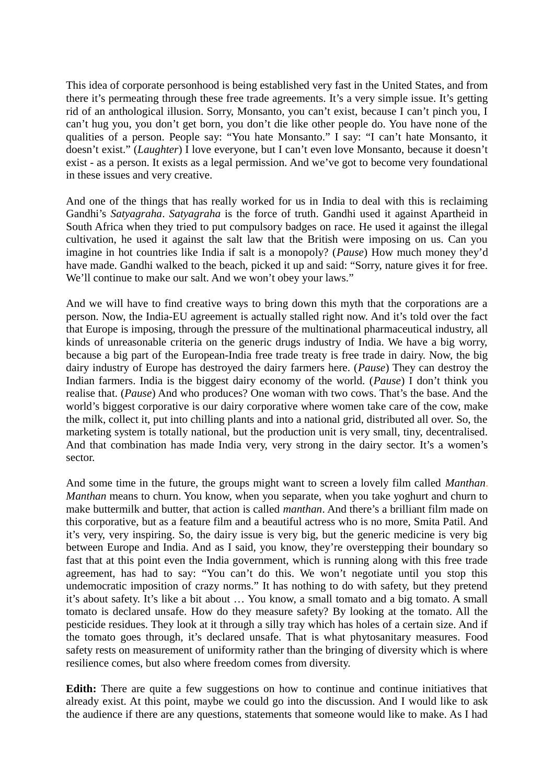This idea of corporate personhood is being established very fast in the United States, and from there it's permeating through these free trade agreements. It's a very simple issue. It's getting rid of an anthological illusion. Sorry, Monsanto, you can't exist, because I can't pinch you, I can't hug you, you don't get born, you don't die like other people do. You have none of the qualities of a person. People say: "You hate Monsanto." I say: "I can't hate Monsanto, it doesn't exist." (*Laughter*) I love everyone, but I can't even love Monsanto, because it doesn't exist - as a person. It exists as a legal permission. And we've got to become very foundational in these issues and very creative.

And one of the things that has really worked for us in India to deal with this is reclaiming Gandhi's *Satyagraha*. *Satyagraha* is the force of truth. Gandhi used it against Apartheid in South Africa when they tried to put compulsory badges on race. He used it against the illegal cultivation, he used it against the salt law that the British were imposing on us. Can you imagine in hot countries like India if salt is a monopoly? (*Pause*) How much money they'd have made. Gandhi walked to the beach, picked it up and said: "Sorry, nature gives it for free. We'll continue to make our salt. And we won't obey your laws."

And we will have to find creative ways to bring down this myth that the corporations are a person. Now, the India-EU agreement is actually stalled right now. And it's told over the fact that Europe is imposing, through the pressure of the multinational pharmaceutical industry, all kinds of unreasonable criteria on the generic drugs industry of India. We have a big worry, because a big part of the European-India free trade treaty is free trade in dairy. Now, the big dairy industry of Europe has destroyed the dairy farmers here. (*Pause*) They can destroy the Indian farmers. India is the biggest dairy economy of the world. (*Pause*) I don't think you realise that. (*Pause*) And who produces? One woman with two cows. That's the base. And the world's biggest corporative is our dairy corporative where women take care of the cow, make the milk, collect it, put into chilling plants and into a national grid, distributed all over. So, the marketing system is totally national, but the production unit is very small, tiny, decentralised. And that combination has made India very, very strong in the dairy sector. It's a women's sector.

And some time in the future, the groups might want to screen a lovely film called *Manthan*. *Manthan* means to churn. You know, when you separate, when you take yoghurt and churn to make buttermilk and butter, that action is called *manthan*. And there's a brilliant film made on this corporative, but as a feature film and a beautiful actress who is no more, Smita Patil. And it's very, very inspiring. So, the dairy issue is very big, but the generic medicine is very big between Europe and India. And as I said, you know, they're overstepping their boundary so fast that at this point even the India government, which is running along with this free trade agreement, has had to say: "You can't do this. We won't negotiate until you stop this undemocratic imposition of crazy norms." It has nothing to do with safety, but they pretend it's about safety. It's like a bit about … You know, a small tomato and a big tomato. A small tomato is declared unsafe. How do they measure safety? By looking at the tomato. All the pesticide residues. They look at it through a silly tray which has holes of a certain size. And if the tomato goes through, it's declared unsafe. That is what phytosanitary measures. Food safety rests on measurement of uniformity rather than the bringing of diversity which is where resilience comes, but also where freedom comes from diversity.

**Edith:** There are quite a few suggestions on how to continue and continue initiatives that already exist. At this point, maybe we could go into the discussion. And I would like to ask the audience if there are any questions, statements that someone would like to make. As I had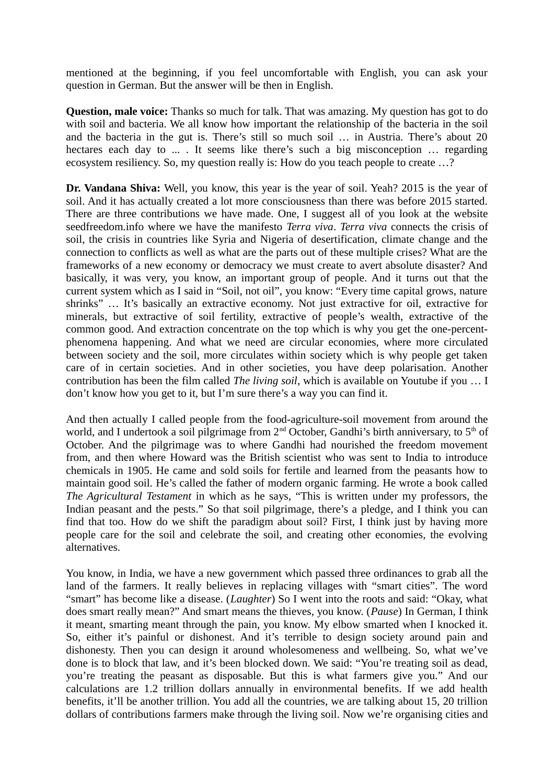mentioned at the beginning, if you feel uncomfortable with English, you can ask your question in German. But the answer will be then in English.

**Question, male voice:** Thanks so much for talk. That was amazing. My question has got to do with soil and bacteria. We all know how important the relationship of the bacteria in the soil and the bacteria in the gut is. There's still so much soil … in Austria. There's about 20 hectares each day to ... . It seems like there's such a big misconception ... regarding ecosystem resiliency. So, my question really is: How do you teach people to create …?

**Dr. Vandana Shiva:** Well, you know, this year is the year of soil. Yeah? 2015 is the year of soil. And it has actually created a lot more consciousness than there was before 2015 started. There are three contributions we have made. One, I suggest all of you look at the website seedfreedom.info where we have the manifesto *Terra viva*. *Terra viva* connects the crisis of soil, the crisis in countries like Syria and Nigeria of desertification, climate change and the connection to conflicts as well as what are the parts out of these multiple crises? What are the frameworks of a new economy or democracy we must create to avert absolute disaster? And basically, it was very, you know, an important group of people. And it turns out that the current system which as I said in "Soil, not oil", you know: "Every time capital grows, nature shrinks" … It's basically an extractive economy. Not just extractive for oil, extractive for minerals, but extractive of soil fertility, extractive of people's wealth, extractive of the common good. And extraction concentrate on the top which is why you get the one-percentphenomena happening. And what we need are circular economies, where more circulated between society and the soil, more circulates within society which is why people get taken care of in certain societies. And in other societies, you have deep polarisation. Another contribution has been the film called *The living soil*, which is available on Youtube if you … I don't know how you get to it, but I'm sure there's a way you can find it.

And then actually I called people from the food-agriculture-soil movement from around the world, and I undertook a soil pilgrimage from  $2<sup>nd</sup>$  October, Gandhi's birth anniversary, to  $5<sup>th</sup>$  of October. And the pilgrimage was to where Gandhi had nourished the freedom movement from, and then where Howard was the British scientist who was sent to India to introduce chemicals in 1905. He came and sold soils for fertile and learned from the peasants how to maintain good soil. He's called the father of modern organic farming. He wrote a book called *The Agricultural Testament* in which as he says, "This is written under my professors, the Indian peasant and the pests." So that soil pilgrimage, there's a pledge, and I think you can find that too. How do we shift the paradigm about soil? First, I think just by having more people care for the soil and celebrate the soil, and creating other economies, the evolving alternatives.

You know, in India, we have a new government which passed three ordinances to grab all the land of the farmers. It really believes in replacing villages with "smart cities". The word "smart" has become like a disease. (*Laughter*) So I went into the roots and said: "Okay, what does smart really mean?" And smart means the thieves, you know. (*Pause*) In German, I think it meant, smarting meant through the pain, you know. My elbow smarted when I knocked it. So, either it's painful or dishonest. And it's terrible to design society around pain and dishonesty. Then you can design it around wholesomeness and wellbeing. So, what we've done is to block that law, and it's been blocked down. We said: "You're treating soil as dead, you're treating the peasant as disposable. But this is what farmers give you." And our calculations are 1.2 trillion dollars annually in environmental benefits. If we add health benefits, it'll be another trillion. You add all the countries, we are talking about 15, 20 trillion dollars of contributions farmers make through the living soil. Now we're organising cities and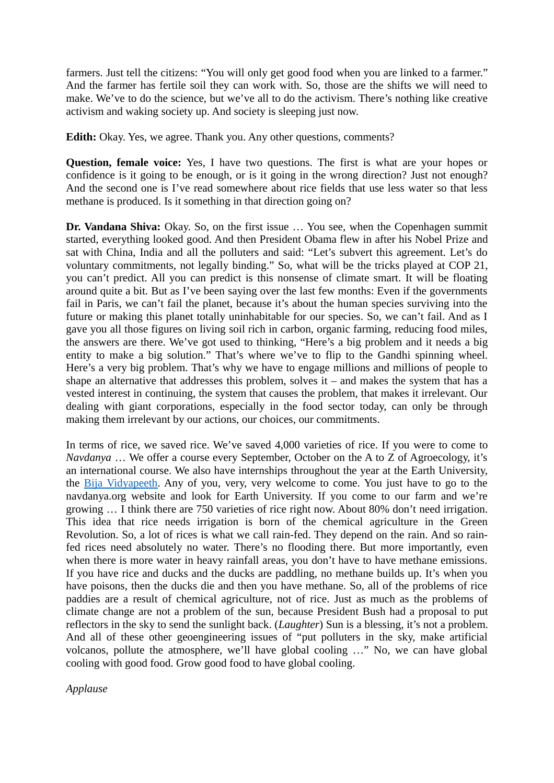farmers. Just tell the citizens: "You will only get good food when you are linked to a farmer." And the farmer has fertile soil they can work with. So, those are the shifts we will need to make. We've to do the science, but we've all to do the activism. There's nothing like creative activism and waking society up. And society is sleeping just now.

**Edith:** Okay. Yes, we agree. Thank you. Any other questions, comments?

**Question, female voice:** Yes, I have two questions. The first is what are your hopes or confidence is it going to be enough, or is it going in the wrong direction? Just not enough? And the second one is I've read somewhere about rice fields that use less water so that less methane is produced. Is it something in that direction going on?

**Dr. Vandana Shiva:** Okay. So, on the first issue … You see, when the Copenhagen summit started, everything looked good. And then President Obama flew in after his Nobel Prize and sat with China, India and all the polluters and said: "Let's subvert this agreement. Let's do voluntary commitments, not legally binding." So, what will be the tricks played at COP 21, you can't predict. All you can predict is this nonsense of climate smart. It will be floating around quite a bit. But as I've been saying over the last few months: Even if the governments fail in Paris, we can't fail the planet, because it's about the human species surviving into the future or making this planet totally uninhabitable for our species. So, we can't fail. And as I gave you all those figures on living soil rich in carbon, organic farming, reducing food miles, the answers are there. We've got used to thinking, "Here's a big problem and it needs a big entity to make a big solution." That's where we've to flip to the Gandhi spinning wheel. Here's a very big problem. That's why we have to engage millions and millions of people to shape an alternative that addresses this problem, solves it  $-$  and makes the system that has a vested interest in continuing, the system that causes the problem, that makes it irrelevant. Our dealing with giant corporations, especially in the food sector today, can only be through making them irrelevant by our actions, our choices, our commitments.

In terms of rice, we saved rice. We've saved 4,000 varieties of rice. If you were to come to *Navdanya* … We offer a course every September, October on the A to Z of Agroecology, it's an international course. We also have internships throughout the year at the Earth University, the [Bija Vidyapeeth.](http://www.navdanya.org/earth-university) Any of you, very, very welcome to come. You just have to go to the navdanya.org website and look for Earth University. If you come to our farm and we're growing … I think there are 750 varieties of rice right now. About 80% don't need irrigation. This idea that rice needs irrigation is born of the chemical agriculture in the Green Revolution. So, a lot of rices is what we call rain-fed. They depend on the rain. And so rainfed rices need absolutely no water. There's no flooding there. But more importantly, even when there is more water in heavy rainfall areas, you don't have to have methane emissions. If you have rice and ducks and the ducks are paddling, no methane builds up. It's when you have poisons, then the ducks die and then you have methane. So, all of the problems of rice paddies are a result of chemical agriculture, not of rice. Just as much as the problems of climate change are not a problem of the sun, because President Bush had a proposal to put reflectors in the sky to send the sunlight back. (*Laughter*) Sun is a blessing, it's not a problem. And all of these other geoengineering issues of "put polluters in the sky, make artificial volcanos, pollute the atmosphere, we'll have global cooling …" No, we can have global cooling with good food. Grow good food to have global cooling.

*Applause*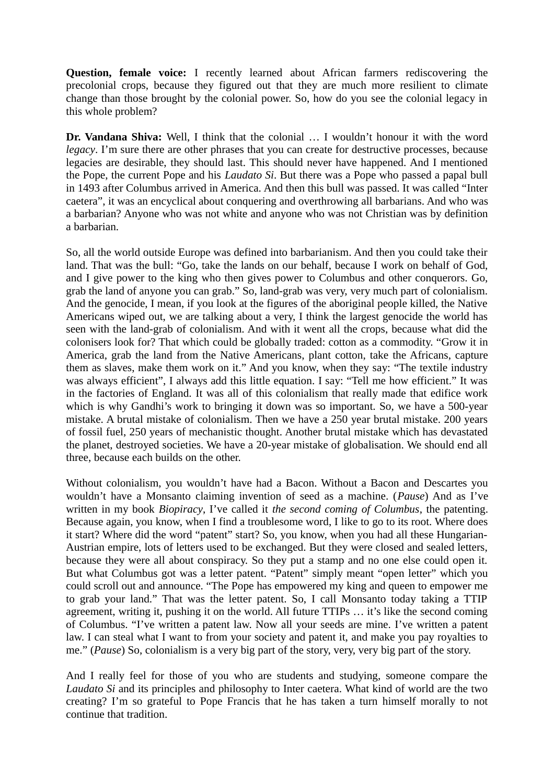**Question, female voice:** I recently learned about African farmers rediscovering the precolonial crops, because they figured out that they are much more resilient to climate change than those brought by the colonial power. So, how do you see the colonial legacy in this whole problem?

**Dr. Vandana Shiva:** Well, I think that the colonial … I wouldn't honour it with the word *legacy*. I'm sure there are other phrases that you can create for destructive processes, because legacies are desirable, they should last. This should never have happened. And I mentioned the Pope, the current Pope and his *Laudato Si*. But there was a Pope who passed a papal bull in 1493 after Columbus arrived in America. And then this bull was passed. It was called "Inter caetera", it was an encyclical about conquering and overthrowing all barbarians. And who was a barbarian? Anyone who was not white and anyone who was not Christian was by definition a barbarian.

So, all the world outside Europe was defined into barbarianism. And then you could take their land. That was the bull: "Go, take the lands on our behalf, because I work on behalf of God, and I give power to the king who then gives power to Columbus and other conquerors. Go, grab the land of anyone you can grab." So, land-grab was very, very much part of colonialism. And the genocide, I mean, if you look at the figures of the aboriginal people killed, the Native Americans wiped out, we are talking about a very, I think the largest genocide the world has seen with the land-grab of colonialism. And with it went all the crops, because what did the colonisers look for? That which could be globally traded: cotton as a commodity. "Grow it in America, grab the land from the Native Americans, plant cotton, take the Africans, capture them as slaves, make them work on it." And you know, when they say: "The textile industry was always efficient", I always add this little equation. I say: "Tell me how efficient." It was in the factories of England. It was all of this colonialism that really made that edifice work which is why Gandhi's work to bringing it down was so important. So, we have a 500-year mistake. A brutal mistake of colonialism. Then we have a 250 year brutal mistake. 200 years of fossil fuel, 250 years of mechanistic thought. Another brutal mistake which has devastated the planet, destroyed societies. We have a 20-year mistake of globalisation. We should end all three, because each builds on the other.

Without colonialism, you wouldn't have had a Bacon. Without a Bacon and Descartes you wouldn't have a Monsanto claiming invention of seed as a machine. (*Pause*) And as I've written in my book *Biopiracy*, I've called it *the second coming of Columbus*, the patenting. Because again, you know, when I find a troublesome word, I like to go to its root. Where does it start? Where did the word "patent" start? So, you know, when you had all these Hungarian-Austrian empire, lots of letters used to be exchanged. But they were closed and sealed letters, because they were all about conspiracy. So they put a stamp and no one else could open it. But what Columbus got was a letter patent. "Patent" simply meant "open letter" which you could scroll out and announce. "The Pope has empowered my king and queen to empower me to grab your land." That was the letter patent. So, I call Monsanto today taking a TTIP agreement, writing it, pushing it on the world. All future TTIPs … it's like the second coming of Columbus. "I've written a patent law. Now all your seeds are mine. I've written a patent law. I can steal what I want to from your society and patent it, and make you pay royalties to me." (*Pause*) So, colonialism is a very big part of the story, very, very big part of the story.

And I really feel for those of you who are students and studying, someone compare the *Laudato Si* and its principles and philosophy to Inter caetera. What kind of world are the two creating? I'm so grateful to Pope Francis that he has taken a turn himself morally to not continue that tradition.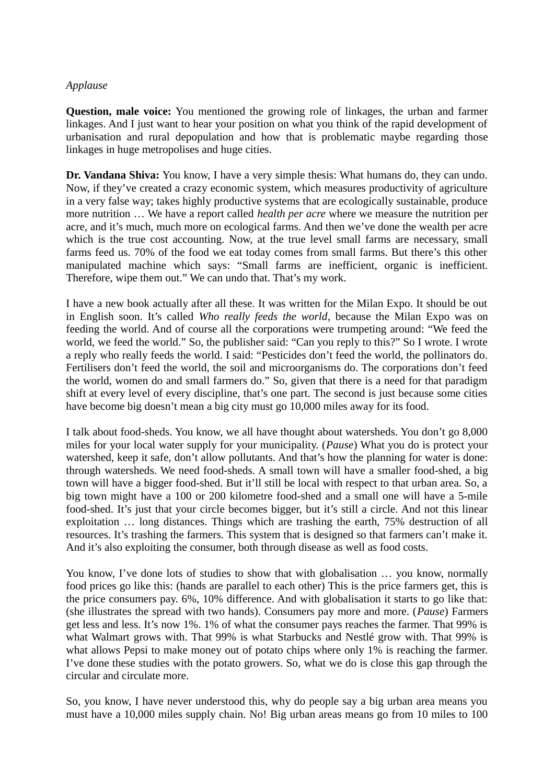# *Applause*

**Question, male voice:** You mentioned the growing role of linkages, the urban and farmer linkages. And I just want to hear your position on what you think of the rapid development of urbanisation and rural depopulation and how that is problematic maybe regarding those linkages in huge metropolises and huge cities.

**Dr. Vandana Shiva:** You know, I have a very simple thesis: What humans do, they can undo. Now, if they've created a crazy economic system, which measures productivity of agriculture in a very false way; takes highly productive systems that are ecologically sustainable, produce more nutrition … We have a report called *health per acre* where we measure the nutrition per acre, and it's much, much more on ecological farms. And then we've done the wealth per acre which is the true cost accounting. Now, at the true level small farms are necessary, small farms feed us. 70% of the food we eat today comes from small farms. But there's this other manipulated machine which says: "Small farms are inefficient, organic is inefficient. Therefore, wipe them out." We can undo that. That's my work.

I have a new book actually after all these. It was written for the Milan Expo. It should be out in English soon. It's called *Who really feeds the world*, because the Milan Expo was on feeding the world. And of course all the corporations were trumpeting around: "We feed the world, we feed the world." So, the publisher said: "Can you reply to this?" So I wrote. I wrote a reply who really feeds the world. I said: "Pesticides don't feed the world, the pollinators do. Fertilisers don't feed the world, the soil and microorganisms do. The corporations don't feed the world, women do and small farmers do." So, given that there is a need for that paradigm shift at every level of every discipline, that's one part. The second is just because some cities have become big doesn't mean a big city must go 10,000 miles away for its food.

I talk about food-sheds. You know, we all have thought about watersheds. You don't go 8,000 miles for your local water supply for your municipality. (*Pause*) What you do is protect your watershed, keep it safe, don't allow pollutants. And that's how the planning for water is done: through watersheds. We need food-sheds. A small town will have a smaller food-shed, a big town will have a bigger food-shed. But it'll still be local with respect to that urban area. So, a big town might have a 100 or 200 kilometre food-shed and a small one will have a 5-mile food-shed. It's just that your circle becomes bigger, but it's still a circle. And not this linear exploitation … long distances. Things which are trashing the earth, 75% destruction of all resources. It's trashing the farmers. This system that is designed so that farmers can't make it. And it's also exploiting the consumer, both through disease as well as food costs.

You know, I've done lots of studies to show that with globalisation … you know, normally food prices go like this: (hands are parallel to each other) This is the price farmers get, this is the price consumers pay. 6%, 10% difference. And with globalisation it starts to go like that: (she illustrates the spread with two hands). Consumers pay more and more. (*Pause*) Farmers get less and less. It's now 1%. 1% of what the consumer pays reaches the farmer. That 99% is what Walmart grows with. That 99% is what Starbucks and Nestlé grow with. That 99% is what allows Pepsi to make money out of potato chips where only 1% is reaching the farmer. I've done these studies with the potato growers. So, what we do is close this gap through the circular and circulate more.

So, you know, I have never understood this, why do people say a big urban area means you must have a 10,000 miles supply chain. No! Big urban areas means go from 10 miles to 100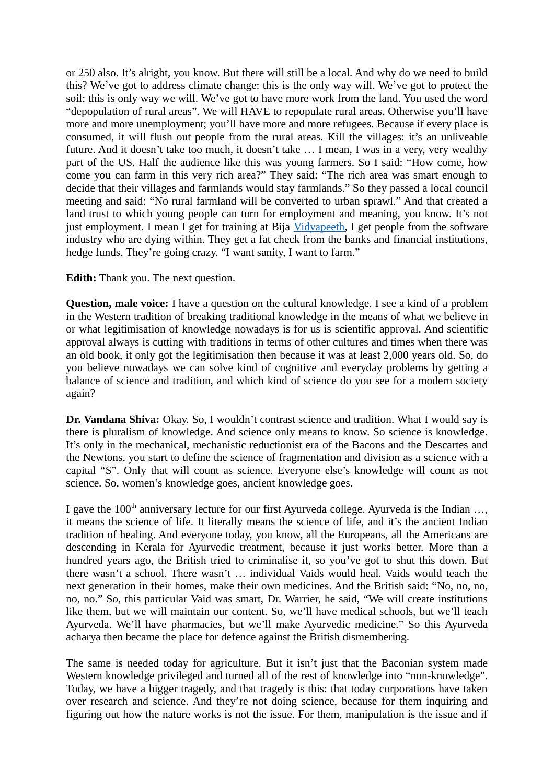or 250 also. It's alright, you know. But there will still be a local. And why do we need to build this? We've got to address climate change: this is the only way will. We've got to protect the soil: this is only way we will. We've got to have more work from the land. You used the word "depopulation of rural areas". We will HAVE to repopulate rural areas. Otherwise you'll have more and more unemployment; you'll have more and more refugees. Because if every place is consumed, it will flush out people from the rural areas. Kill the villages: it's an unliveable future. And it doesn't take too much, it doesn't take … I mean, I was in a very, very wealthy part of the US. Half the audience like this was young farmers. So I said: "How come, how come you can farm in this very rich area?" They said: "The rich area was smart enough to decide that their villages and farmlands would stay farmlands." So they passed a local council meeting and said: "No rural farmland will be converted to urban sprawl." And that created a land trust to which young people can turn for employment and meaning, you know. It's not just employment. I mean I get for training at Bija [Vidyapeeth,](http://www.navdanya.org/earth-university) I get people from the software industry who are dying within. They get a fat check from the banks and financial institutions, hedge funds. They're going crazy. "I want sanity, I want to farm."

**Edith:** Thank you. The next question.

**Question, male voice:** I have a question on the cultural knowledge. I see a kind of a problem in the Western tradition of breaking traditional knowledge in the means of what we believe in or what legitimisation of knowledge nowadays is for us is scientific approval. And scientific approval always is cutting with traditions in terms of other cultures and times when there was an old book, it only got the legitimisation then because it was at least 2,000 years old. So, do you believe nowadays we can solve kind of cognitive and everyday problems by getting a balance of science and tradition, and which kind of science do you see for a modern society again?

**Dr. Vandana Shiva:** Okay. So, I wouldn't contrast science and tradition. What I would say is there is pluralism of knowledge. And science only means to know. So science is knowledge. It's only in the mechanical, mechanistic reductionist era of the Bacons and the Descartes and the Newtons, you start to define the science of fragmentation and division as a science with a capital "S". Only that will count as science. Everyone else's knowledge will count as not science. So, women's knowledge goes, ancient knowledge goes.

I gave the  $100<sup>th</sup>$  anniversary lecture for our first Ayurveda college. Ayurveda is the Indian  $\dots$ , it means the science of life. It literally means the science of life, and it's the ancient Indian tradition of healing. And everyone today, you know, all the Europeans, all the Americans are descending in Kerala for Ayurvedic treatment, because it just works better. More than a hundred years ago, the British tried to criminalise it, so you've got to shut this down. But there wasn't a school. There wasn't … individual Vaids would heal. Vaids would teach the next generation in their homes, make their own medicines. And the British said: "No, no, no, no, no." So, this particular Vaid was smart, Dr. Warrier, he said, "We will create institutions like them, but we will maintain our content. So, we'll have medical schools, but we'll teach Ayurveda. We'll have pharmacies, but we'll make Ayurvedic medicine." So this Ayurveda acharya then became the place for defence against the British dismembering.

The same is needed today for agriculture. But it isn't just that the Baconian system made Western knowledge privileged and turned all of the rest of knowledge into "non-knowledge". Today, we have a bigger tragedy, and that tragedy is this: that today corporations have taken over research and science. And they're not doing science, because for them inquiring and figuring out how the nature works is not the issue. For them, manipulation is the issue and if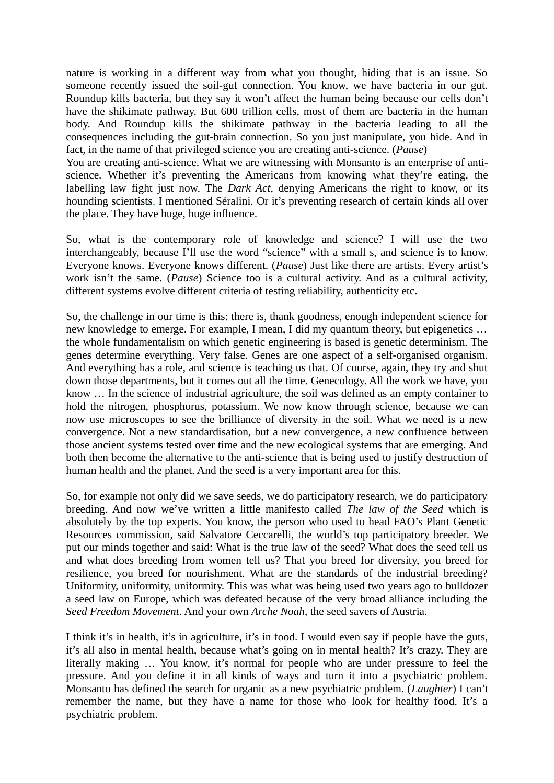nature is working in a different way from what you thought, hiding that is an issue. So someone recently issued the soil-gut connection. You know, we have bacteria in our gut. Roundup kills bacteria, but they say it won't affect the human being because our cells don't have the shikimate pathway. But 600 trillion cells, most of them are bacteria in the human body. And Roundup kills the shikimate pathway in the bacteria leading to all the consequences including the gut-brain connection. So you just manipulate, you hide. And in fact, in the name of that privileged science you are creating anti-science. (*Pause*)

You are creating anti-science. What we are witnessing with Monsanto is an enterprise of antiscience. Whether it's preventing the Americans from knowing what they're eating, the labelling law fight just now. The *Dark Act*, denying Americans the right to know, or its hounding scientists, I mentioned Séralini. Or it's preventing research of certain kinds all over the place. They have huge, huge influence.

So, what is the contemporary role of knowledge and science? I will use the two interchangeably, because I'll use the word "science" with a small s, and science is to know. Everyone knows. Everyone knows different. (*Pause*) Just like there are artists. Every artist's work isn't the same. (*Pause*) Science too is a cultural activity. And as a cultural activity, different systems evolve different criteria of testing reliability, authenticity etc.

So, the challenge in our time is this: there is, thank goodness, enough independent science for new knowledge to emerge. For example, I mean, I did my quantum theory, but epigenetics … the whole fundamentalism on which genetic engineering is based is genetic determinism. The genes determine everything. Very false. Genes are one aspect of a self-organised organism. And everything has a role, and science is teaching us that. Of course, again, they try and shut down those departments, but it comes out all the time. Genecology. All the work we have, you know … In the science of industrial agriculture, the soil was defined as an empty container to hold the nitrogen, phosphorus, potassium. We now know through science, because we can now use microscopes to see the brilliance of diversity in the soil. What we need is a new convergence. Not a new standardisation, but a new convergence, a new confluence between those ancient systems tested over time and the new ecological systems that are emerging. And both then become the alternative to the anti-science that is being used to justify destruction of human health and the planet. And the seed is a very important area for this.

So, for example not only did we save seeds, we do participatory research, we do participatory breeding. And now we've written a little manifesto called *The law of the Seed* which is absolutely by the top experts. You know, the person who used to head FAO's Plant Genetic Resources commission, said Salvatore Ceccarelli, the world's top participatory breeder. We put our minds together and said: What is the true law of the seed? What does the seed tell us and what does breeding from women tell us? That you breed for diversity, you breed for resilience, you breed for nourishment. What are the standards of the industrial breeding? Uniformity, uniformity, uniformity. This was what was being used two years ago to bulldozer a seed law on Europe, which was defeated because of the very broad alliance including the *Seed Freedom Movement*. And your own *Arche Noah*, the seed savers of Austria.

I think it's in health, it's in agriculture, it's in food. I would even say if people have the guts, it's all also in mental health, because what's going on in mental health? It's crazy. They are literally making … You know, it's normal for people who are under pressure to feel the pressure. And you define it in all kinds of ways and turn it into a psychiatric problem. Monsanto has defined the search for organic as a new psychiatric problem. (*Laughter*) I can't remember the name, but they have a name for those who look for healthy food. It's a psychiatric problem.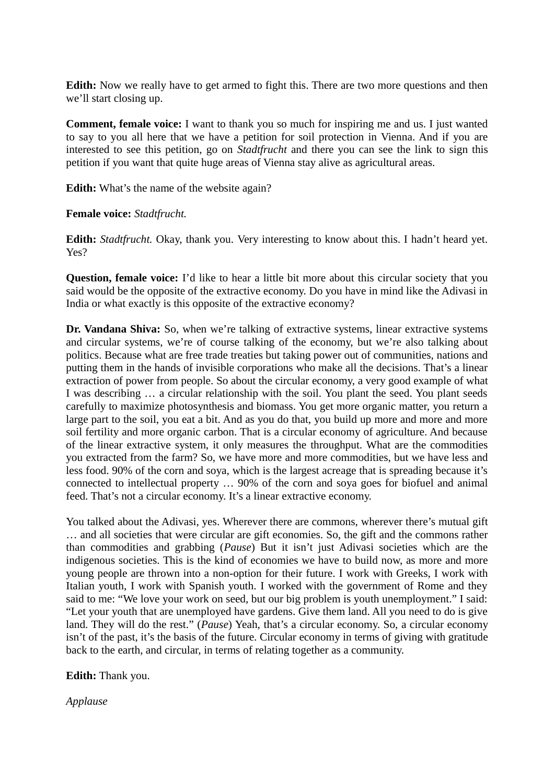**Edith:** Now we really have to get armed to fight this. There are two more questions and then we'll start closing up.

**Comment, female voice:** I want to thank you so much for inspiring me and us. I just wanted to say to you all here that we have a petition for soil protection in Vienna. And if you are interested to see this petition, go on *Stadtfrucht* and there you can see the link to sign this petition if you want that quite huge areas of Vienna stay alive as agricultural areas.

**Edith:** What's the name of the website again?

# **Female voice:** *Stadtfrucht.*

**Edith:** *Stadtfrucht.* Okay, thank you. Very interesting to know about this. I hadn't heard yet. Yes?

**Question, female voice:** I'd like to hear a little bit more about this circular society that you said would be the opposite of the extractive economy. Do you have in mind like the Adivasi in India or what exactly is this opposite of the extractive economy?

**Dr. Vandana Shiva:** So, when we're talking of extractive systems, linear extractive systems and circular systems, we're of course talking of the economy, but we're also talking about politics. Because what are free trade treaties but taking power out of communities, nations and putting them in the hands of invisible corporations who make all the decisions. That's a linear extraction of power from people. So about the circular economy, a very good example of what I was describing … a circular relationship with the soil. You plant the seed. You plant seeds carefully to maximize photosynthesis and biomass. You get more organic matter, you return a large part to the soil, you eat a bit. And as you do that, you build up more and more and more soil fertility and more organic carbon. That is a circular economy of agriculture. And because of the linear extractive system, it only measures the throughput. What are the commodities you extracted from the farm? So, we have more and more commodities, but we have less and less food. 90% of the corn and soya, which is the largest acreage that is spreading because it's connected to intellectual property … 90% of the corn and soya goes for biofuel and animal feed. That's not a circular economy. It's a linear extractive economy.

You talked about the Adivasi, yes. Wherever there are commons, wherever there's mutual gift … and all societies that were circular are gift economies. So, the gift and the commons rather than commodities and grabbing (*Pause*) But it isn't just Adivasi societies which are the indigenous societies. This is the kind of economies we have to build now, as more and more young people are thrown into a non-option for their future. I work with Greeks, I work with Italian youth, I work with Spanish youth. I worked with the government of Rome and they said to me: "We love your work on seed, but our big problem is youth unemployment." I said: "Let your youth that are unemployed have gardens. Give them land. All you need to do is give land. They will do the rest." (*Pause*) Yeah, that's a circular economy. So, a circular economy isn't of the past, it's the basis of the future. Circular economy in terms of giving with gratitude back to the earth, and circular, in terms of relating together as a community.

**Edith:** Thank you.

*Applause*